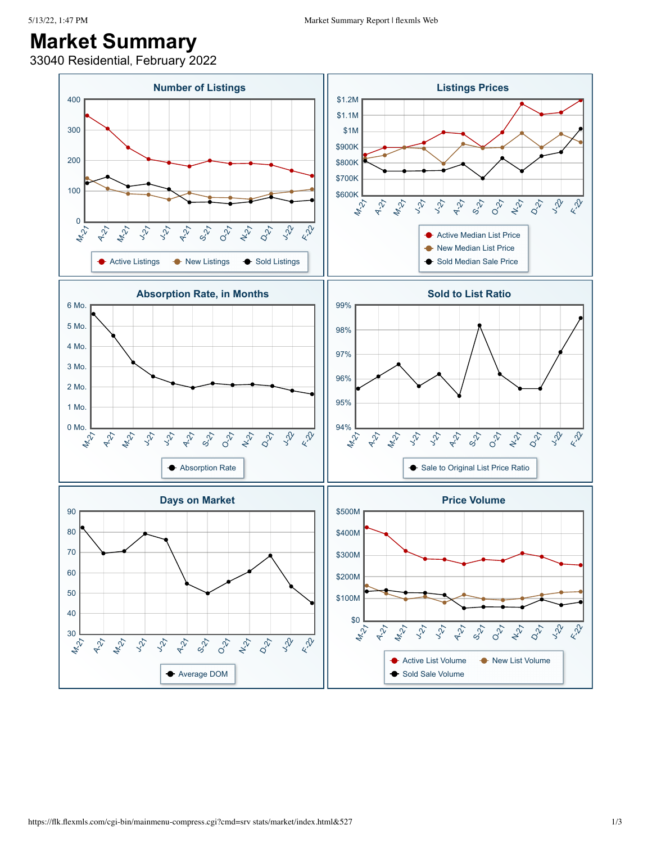## **Market Summary**

33040 Residential, February 2022

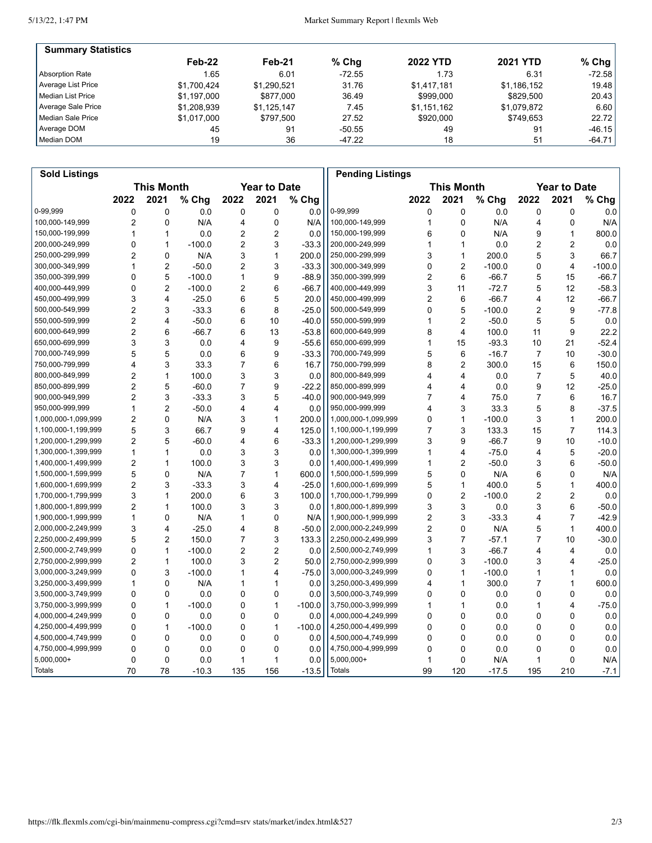5/13/22, 1:47 PM

Market Summary Report | flexmls Web

| <b>Summary Statistics</b> |             |             |          |                 |                 |          |
|---------------------------|-------------|-------------|----------|-----------------|-----------------|----------|
|                           | Feb-22      | Feb-21      | $%$ Chq  | <b>2022 YTD</b> | <b>2021 YTD</b> | $%$ Chg  |
| Absorption Rate           | 1.65        | 6.01        | $-72.55$ | 1.73            | 6.31            | $-72.58$ |
| Average List Price        | \$1.700.424 | \$1,290,521 | 31.76    | \$1.417.181     | \$1,186,152     | 19.48    |
| Median List Price         | \$1.197.000 | \$877,000   | 36.49    | \$999.000       | \$829.500       | 20.43    |
| Average Sale Price        | \$1,208,939 | \$1,125,147 | 7.45     | \$1,151,162     | \$1,079,872     | 6.60     |
| Median Sale Price         | \$1,017,000 | \$797.500   | 27.52    | \$920,000       | \$749.653       | 22.72    |
| Average DOM               | 45          | 91          | $-50.55$ | 49              | 91              | $-46.15$ |
| Median DOM                | 19          | 36          | -47.22   | 18              | 51              | $-64.71$ |

| <b>Sold Listings</b> |                                          |                         |          |                |                   |          | <b>Pending Listings</b> |                |                         |          |                |                |          |
|----------------------|------------------------------------------|-------------------------|----------|----------------|-------------------|----------|-------------------------|----------------|-------------------------|----------|----------------|----------------|----------|
|                      | <b>This Month</b><br><b>Year to Date</b> |                         |          |                | <b>This Month</b> |          |                         |                | <b>Year to Date</b>     |          |                |                |          |
|                      | 2022                                     | 2021                    | % Chg    | 2022           | 2021              | % Chg    |                         | 2022           | 2021                    | % Chg    | 2022           | 2021           | % Chg    |
| 0-99,999             | 0                                        | 0                       | 0.0      | 0              | 0                 | 0.0      | 0-99,999                | 0              | 0                       | 0.0      | 0              | 0              | 0.0      |
| 100,000-149,999      | $\overline{c}$                           | 0                       | N/A      | 4              | 0                 | N/A      | 100,000-149,999         | 1              | $\mathbf 0$             | N/A      | 4              | 0              | N/A      |
| 150,000-199,999      | 1                                        | $\mathbf{1}$            | 0.0      | 2              | $\overline{c}$    | 0.0      | 150,000-199,999         | 6              | $\mathbf{0}$            | N/A      | 9              | $\mathbf{1}$   | 800.0    |
| 200,000-249,999      | 0                                        | $\mathbf{1}$            | $-100.0$ | $\overline{2}$ | 3                 | $-33.3$  | 200,000-249,999         | 1              | 1                       | 0.0      | 2              | 2              | 0.0      |
| 250,000-299,999      | 2                                        | 0                       | N/A      | 3              | $\mathbf{1}$      | 200.0    | 250,000-299,999         | 3              | $\mathbf{1}$            | 200.0    | 5              | 3              | 66.7     |
| 300,000-349,999      | 1                                        | $\overline{2}$          | $-50.0$  | 2              | 3                 | $-33.3$  | 300,000-349,999         | 0              | $\overline{2}$          | $-100.0$ | 0              | 4              | $-100.0$ |
| 350,000-399,999      | 0                                        | 5                       | $-100.0$ | 1              | 9                 | $-88.9$  | 350,000-399,999         | $\overline{2}$ | 6                       | $-66.7$  | 5              | 15             | $-66.7$  |
| 400,000-449,999      | 0                                        | $\overline{2}$          | $-100.0$ | $\overline{2}$ | 6                 | $-66.7$  | 400,000-449,999         | 3              | 11                      | $-72.7$  | 5              | 12             | $-58.3$  |
| 450,000-499,999      | 3                                        | 4                       | $-25.0$  | 6              | 5                 | 20.0     | 450,000-499,999         | $\overline{2}$ | 6                       | $-66.7$  | 4              | 12             | $-66.7$  |
| 500,000-549,999      | 2                                        | 3                       | $-33.3$  | 6              | 8                 | $-25.0$  | 500,000-549,999         | 0              | 5                       | $-100.0$ | 2              | 9              | $-77.8$  |
| 550,000-599,999      | 2                                        | 4                       | $-50.0$  | 6              | 10                | $-40.0$  | 550,000-599,999         | 1              | $\overline{2}$          | $-50.0$  | 5              | 5              | 0.0      |
| 600,000-649,999      | $\overline{\mathbf{c}}$                  | 6                       | -66.7    | 6              | 13                | $-53.8$  | 600,000-649,999         | 8              | 4                       | 100.0    | 11             | 9              | 22.2     |
| 650,000-699,999      | 3                                        | 3                       | 0.0      | 4              | 9                 | $-55.6$  | 650,000-699,999         | 1              | 15                      | $-93.3$  | 10             | 21             | $-52.4$  |
| 700,000-749,999      | 5                                        | 5                       | 0.0      | 6              | 9                 | $-33.3$  | 700,000-749,999         | 5              | 6                       | $-16.7$  | 7              | 10             | $-30.0$  |
| 750,000-799,999      | 4                                        | 3                       | 33.3     | 7              | 6                 | 16.7     | 750,000-799,999         | 8              | $\overline{2}$          | 300.0    | 15             | 6              | 150.0    |
| 800,000-849,999      | 2                                        | $\mathbf{1}$            | 100.0    | 3              | 3                 | 0.0      | 800,000-849,999         | 4              | $\overline{4}$          | 0.0      | $\overline{7}$ | 5              | 40.0     |
| 850,000-899,999      | $\overline{c}$                           | 5                       | $-60.0$  | 7              | 9                 | $-22.2$  | 850,000-899,999         | 4              | $\overline{4}$          | 0.0      | 9              | 12             | $-25.0$  |
| 900,000-949,999      | 2                                        | 3                       | $-33.3$  | 3              | 5                 | $-40.0$  | 900,000-949,999         | 7              | 4                       | 75.0     | 7              | 6              | 16.7     |
| 950,000-999,999      | 1                                        | $\overline{2}$          | $-50.0$  | 4              | 4                 | 0.0      | 950,000-999,999         | 4              | 3                       | 33.3     | 5              | 8              | $-37.5$  |
| 1,000,000-1,099,999  | $\overline{c}$                           | $\mathbf 0$             | N/A      | 3              | $\mathbf{1}$      | 200.0    | 1,000,000-1,099,999     | 0              | $\mathbf{1}$            | $-100.0$ | 3              | $\mathbf{1}$   | 200.0    |
| 1,100,000-1,199,999  | 5                                        | 3                       | 66.7     | 9              | 4                 | 125.0    | 1,100,000-1,199,999     | 7              | 3                       | 133.3    | 15             | $\overline{7}$ | 114.3    |
| 1,200,000-1,299,999  | $\overline{c}$                           | 5                       | -60.0    | 4              | 6                 | $-33.3$  | 1,200,000-1,299,999     | 3              | 9                       | $-66.7$  | 9              | 10             | $-10.0$  |
| 1,300,000-1,399,999  | 1                                        | $\mathbf{1}$            | 0.0      | 3              | 3                 | 0.0      | 1,300,000-1,399,999     | 1              | $\overline{\mathbf{4}}$ | $-75.0$  | 4              | 5              | $-20.0$  |
| 1,400,000-1,499,999  | 2                                        | $\mathbf{1}$            | 100.0    | 3              | 3                 | 0.0      | 1,400,000-1,499,999     | 1              | $\overline{2}$          | $-50.0$  | 3              | 6              | $-50.0$  |
| 1,500,000-1,599,999  | 5                                        | 0                       | N/A      | 7              | $\mathbf{1}$      | 600.0    | 1,500,000-1,599,999     | 5              | 0                       | N/A      | 6              | 0              | N/A      |
| 1,600,000-1,699,999  | 2                                        | 3                       | $-33.3$  | 3              | 4                 | $-25.0$  | 1,600,000-1,699,999     | 5              | 1                       | 400.0    | 5              | 1              | 400.0    |
| 1,700,000-1,799,999  | 3                                        | $\mathbf{1}$            | 200.0    | 6              | 3                 | 100.0    | 1,700,000-1,799,999     | 0              | $\overline{2}$          | $-100.0$ | 2              | 2              | 0.0      |
| 1,800,000-1,899,999  | $\overline{2}$                           | 1                       | 100.0    | 3              | 3                 | 0.0      | 1,800,000-1,899,999     | 3              | 3                       | 0.0      | 3              | 6              | $-50.0$  |
| 1,900,000-1,999,999  | 1                                        | 0                       | N/A      | 1              | 0                 | N/A      | 1,900,000-1,999,999     | $\overline{2}$ | 3                       | $-33.3$  | 4              | 7              | $-42.9$  |
| 2,000,000-2,249,999  | 3                                        | $\overline{\mathbf{4}}$ | $-25.0$  | 4              | 8                 | $-50.0$  | 2,000,000-2,249,999     | 2              | 0                       | N/A      | 5              | 1              | 400.0    |
| 2,250,000-2,499,999  | 5                                        | $\overline{c}$          | 150.0    | 7              | 3                 | 133.3    | 2,250,000-2,499,999     | 3              | $\overline{7}$          | $-57.1$  | 7              | 10             | $-30.0$  |
| 2,500,000-2,749,999  | 0                                        | $\mathbf{1}$            | $-100.0$ | 2              | $\overline{c}$    | 0.0      | 2,500,000-2,749,999     | 1              | 3                       | $-66.7$  | 4              | 4              | 0.0      |
| 2,750,000-2,999,999  | 2                                        | $\mathbf{1}$            | 100.0    | 3              | $\overline{c}$    | 50.0     | 2,750,000-2,999,999     | 0              | 3                       | $-100.0$ | 3              | 4              | $-25.0$  |
| 3,000,000-3,249,999  | 0                                        | 3                       | $-100.0$ | 1              | 4                 | $-75.0$  | 3,000,000-3,249,999     | 0              | $\mathbf{1}$            | $-100.0$ | 1              | 1              | 0.0      |
| 3,250,000-3,499,999  | 1                                        | 0                       | N/A      | 1              | 1                 | 0.0      | 3,250,000-3,499,999     | 4              | $\mathbf{1}$            | 300.0    | 7              | $\mathbf{1}$   | 600.0    |
| 3,500,000-3,749,999  | 0                                        | 0                       | 0.0      | 0              | 0                 | 0.0      | 3,500,000-3,749,999     | 0              | 0                       | 0.0      | 0              | 0              | 0.0      |
| 3,750,000-3,999,999  | 0                                        | $\mathbf{1}$            | $-100.0$ | 0              | $\mathbf{1}$      | $-100.0$ | 3,750,000-3,999,999     | 1              | $\mathbf{1}$            | 0.0      | 1              | 4              | $-75.0$  |
| 4,000,000-4,249,999  | 0                                        | 0                       | 0.0      | 0              | 0                 | 0.0      | 4,000,000-4,249,999     | 0              | $\mathbf 0$             | 0.0      | 0              | 0              | 0.0      |
| 4,250,000-4,499,999  | 0                                        | $\mathbf{1}$            | $-100.0$ | 0              | $\mathbf{1}$      | $-100.0$ | 4,250,000-4,499,999     | 0              | $\mathbf 0$             | 0.0      | 0              | 0              | 0.0      |
| 4,500,000-4,749,999  | 0                                        | 0                       | 0.0      | 0              | 0                 | 0.0      | 4,500,000-4,749,999     | 0              | 0                       | 0.0      | 0              | 0              | 0.0      |
| 4,750,000-4,999,999  | 0                                        | 0                       | 0.0      | 0              | 0                 | 0.0      | 4,750,000-4,999,999     | 0              | $\Omega$                | 0.0      | 0              | $\mathbf 0$    | 0.0      |
| 5,000,000+           | 0                                        | 0                       | 0.0      | 1              | 1                 | 0.0      | 5,000,000+              | 1              | 0                       | N/A      | 1              | 0              | N/A      |
| Totals               | 70                                       | 78                      | $-10.3$  | 135            | 156               | $-13.5$  | <b>Totals</b>           | 99             | 120                     | $-17.5$  | 195            | 210            | $-7.1$   |